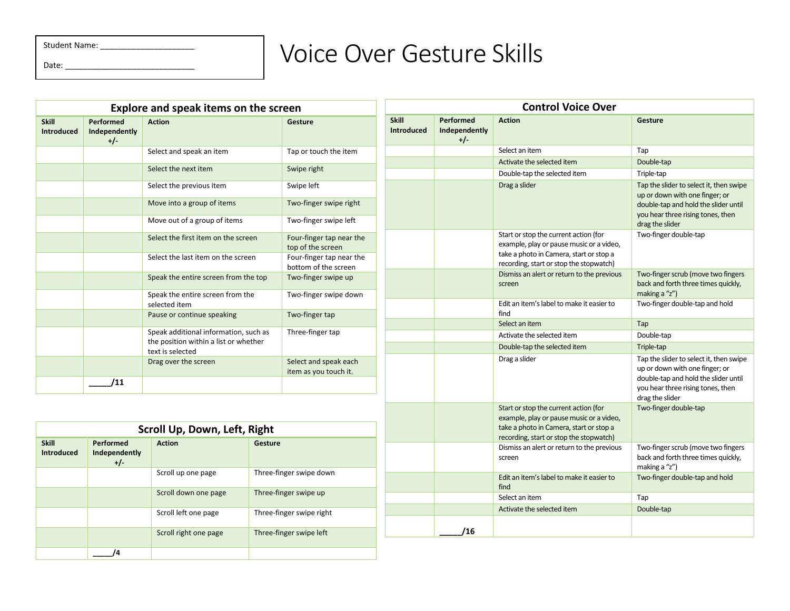Student Name: \_\_\_\_\_\_\_\_\_\_\_\_\_\_\_\_\_\_\_\_\_

Date: \_\_\_\_\_\_\_\_\_\_\_\_\_\_\_\_\_\_\_\_\_\_\_\_\_\_\_\_\_

## Voice Over Gesture Skills

| <b>Explore and speak items on the screen</b> |                                     |                                                                                                    |                                                  |  |
|----------------------------------------------|-------------------------------------|----------------------------------------------------------------------------------------------------|--------------------------------------------------|--|
| <b>Skill</b><br><b>Introduced</b>            | Performed<br>Independently<br>$+/-$ | <b>Action</b>                                                                                      | Gesture                                          |  |
|                                              |                                     | Select and speak an item                                                                           | Tap or touch the item                            |  |
|                                              |                                     | Select the next item                                                                               | Swipe right                                      |  |
|                                              |                                     | Select the previous item                                                                           | Swipe left                                       |  |
|                                              |                                     | Move into a group of items                                                                         | Two-finger swipe right                           |  |
|                                              |                                     | Move out of a group of items                                                                       | Two-finger swipe left                            |  |
|                                              |                                     | Select the first item on the screen                                                                | Four-finger tap near the<br>top of the screen    |  |
|                                              |                                     | Select the last item on the screen                                                                 | Four-finger tap near the<br>bottom of the screen |  |
|                                              |                                     | Speak the entire screen from the top                                                               | Two-finger swipe up                              |  |
|                                              |                                     | Speak the entire screen from the<br>selected item                                                  | Two-finger swipe down                            |  |
|                                              |                                     | Pause or continue speaking                                                                         | Two-finger tap                                   |  |
|                                              |                                     | Speak additional information, such as<br>the position within a list or whether<br>text is selected | Three-finger tap                                 |  |
|                                              |                                     | Drag over the screen                                                                               | Select and speak each<br>item as you touch it.   |  |
|                                              | '11                                 |                                                                                                    |                                                  |  |

| Scroll Up, Down, Left, Right      |                                     |                       |                          |  |  |
|-----------------------------------|-------------------------------------|-----------------------|--------------------------|--|--|
| <b>Skill</b><br><b>Introduced</b> | Performed<br>Independently<br>$+/-$ | <b>Action</b>         | Gesture                  |  |  |
|                                   |                                     | Scroll up one page    | Three-finger swipe down  |  |  |
|                                   |                                     | Scroll down one page  | Three-finger swipe up    |  |  |
|                                   |                                     | Scroll left one page  | Three-finger swipe right |  |  |
|                                   |                                     | Scroll right one page | Three-finger swipe left  |  |  |
|                                   | 4                                   |                       |                          |  |  |

| <b>Control Voice Over</b>         |                                   |                                                                                                                                                                         |                                                                                                                                                                           |  |  |
|-----------------------------------|-----------------------------------|-------------------------------------------------------------------------------------------------------------------------------------------------------------------------|---------------------------------------------------------------------------------------------------------------------------------------------------------------------------|--|--|
| <b>Skill</b><br><b>Introduced</b> | Performed<br>Independently<br>+/- | <b>Action</b>                                                                                                                                                           | Gesture                                                                                                                                                                   |  |  |
|                                   |                                   | Select an item                                                                                                                                                          | Tap                                                                                                                                                                       |  |  |
|                                   |                                   | Activate the selected item                                                                                                                                              | Double-tap                                                                                                                                                                |  |  |
|                                   |                                   | Double-tap the selected item                                                                                                                                            | Triple-tap                                                                                                                                                                |  |  |
|                                   |                                   | Drag a slider                                                                                                                                                           | Tap the slider to select it, then swipe<br>up or down with one finger; or<br>double-tap and hold the slider until<br>you hear three rising tones, then<br>drag the slider |  |  |
|                                   |                                   | Start or stop the current action (for<br>example, play or pause music or a video,<br>take a photo in Camera, start or stop a<br>recording, start or stop the stopwatch) | Two-finger double-tap                                                                                                                                                     |  |  |
|                                   |                                   | Dismiss an alert or return to the previous<br>screen                                                                                                                    | Two-finger scrub (move two fingers<br>back and forth three times quickly,<br>making a "z")                                                                                |  |  |
|                                   |                                   | Edit an item's label to make it easier to<br>find                                                                                                                       | Two-finger double-tap and hold                                                                                                                                            |  |  |
|                                   |                                   | Select an item                                                                                                                                                          | Tap                                                                                                                                                                       |  |  |
|                                   |                                   | Activate the selected item                                                                                                                                              | Double-tap                                                                                                                                                                |  |  |
|                                   |                                   | Double-tap the selected item                                                                                                                                            | Triple-tap                                                                                                                                                                |  |  |
|                                   |                                   | Drag a slider                                                                                                                                                           | Tap the slider to select it, then swipe<br>up or down with one finger; or<br>double-tap and hold the slider until<br>you hear three rising tones, then<br>drag the slider |  |  |
|                                   |                                   | Start or stop the current action (for<br>example, play or pause music or a video,<br>take a photo in Camera, start or stop a<br>recording, start or stop the stopwatch) | Two-finger double-tap                                                                                                                                                     |  |  |
|                                   |                                   | Dismiss an alert or return to the previous<br>screen                                                                                                                    | Two-finger scrub (move two fingers<br>back and forth three times quickly,<br>making a "z")                                                                                |  |  |
|                                   |                                   | Edit an item's label to make it easier to<br>find                                                                                                                       | Two-finger double-tap and hold                                                                                                                                            |  |  |
|                                   |                                   | Select an item                                                                                                                                                          | Tap                                                                                                                                                                       |  |  |
|                                   |                                   | Activate the selected item                                                                                                                                              | Double-tap                                                                                                                                                                |  |  |
|                                   | /16                               |                                                                                                                                                                         |                                                                                                                                                                           |  |  |